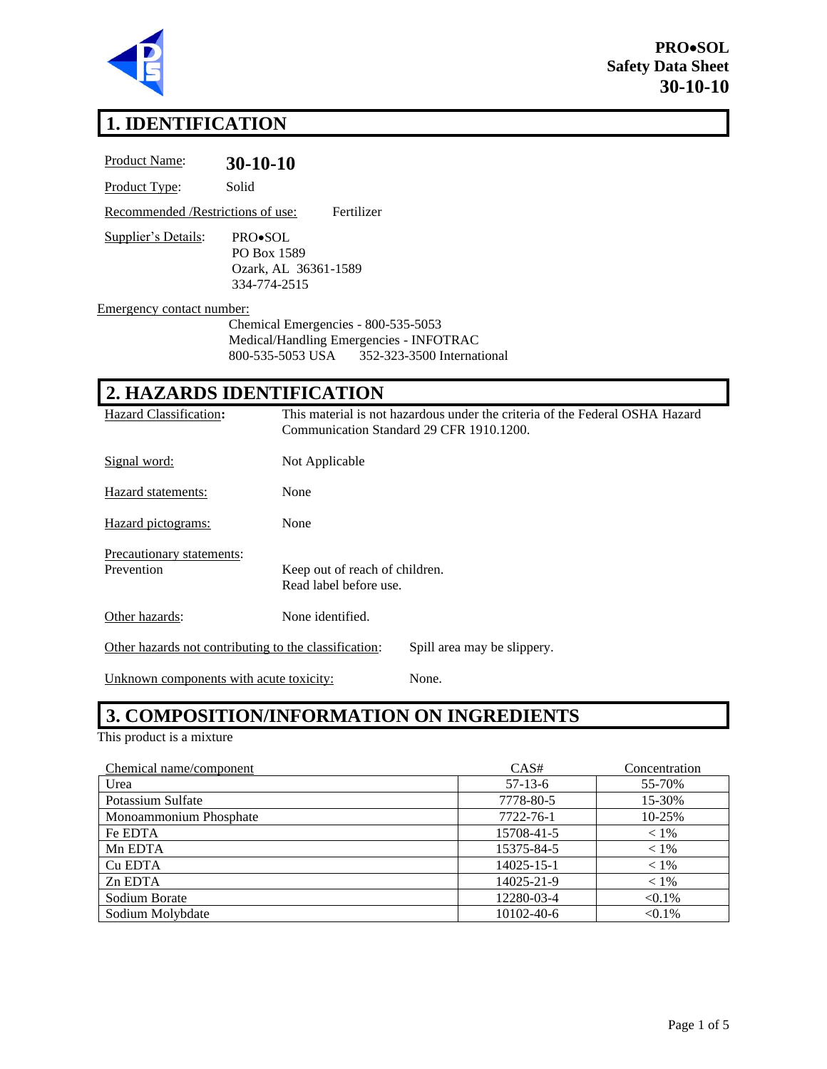

# **1. IDENTIFICATION**

| Product Name:                           | $30-10-10$                                                                                         |                                                                              |
|-----------------------------------------|----------------------------------------------------------------------------------------------------|------------------------------------------------------------------------------|
| Product Type:                           | Solid                                                                                              |                                                                              |
| Recommended /Restrictions of use:       | Fertilizer                                                                                         |                                                                              |
| Supplier's Details:                     | PRO•SOL<br>PO Box 1589<br>Ozark, AL 36361-1589<br>334-774-2515                                     |                                                                              |
| Emergency contact number:               |                                                                                                    |                                                                              |
|                                         | Chemical Emergencies - 800-535-5053<br>Medical/Handling Emergencies - INFOTRAC<br>800-535-5053 USA | 352-323-3500 International                                                   |
|                                         | 2. HAZARDS IDENTIFICATION                                                                          |                                                                              |
| <b>Hazard Classification:</b>           | Communication Standard 29 CFR 1910.1200.                                                           | This material is not hazardous under the criteria of the Federal OSHA Hazard |
| Signal word:                            | Not Applicable                                                                                     |                                                                              |
| Hazard statements:                      | None                                                                                               |                                                                              |
| Hazard pictograms:                      | None                                                                                               |                                                                              |
| Precautionary statements:<br>Prevention | Keep out of reach of children.<br>Read label before use.                                           |                                                                              |
| Other hazards:                          | None identified.                                                                                   |                                                                              |
|                                         | Other hazards not contributing to the classification:                                              | Spill area may be slippery.                                                  |
| Unknown components with acute toxicity: |                                                                                                    | None.                                                                        |

# **3. COMPOSITION/INFORMATION ON INGREDIENTS**

This product is a mixture

| Chemical name/component | CAS#       | Concentration |
|-------------------------|------------|---------------|
| Urea                    | $57-13-6$  | 55-70%        |
| Potassium Sulfate       | 7778-80-5  | 15-30%        |
| Monoammonium Phosphate  | 7722-76-1  | 10-25%        |
| Fe EDTA                 | 15708-41-5 | $< 1\%$       |
| Mn EDTA                 | 15375-84-5 | $< 1\%$       |
| Cu EDTA                 | 14025-15-1 | $< 1\%$       |
| Zn EDTA                 | 14025-21-9 | $< 1\%$       |
| Sodium Borate           | 12280-03-4 | $< 0.1\%$     |
| Sodium Molybdate        | 10102-40-6 | $< 0.1\%$     |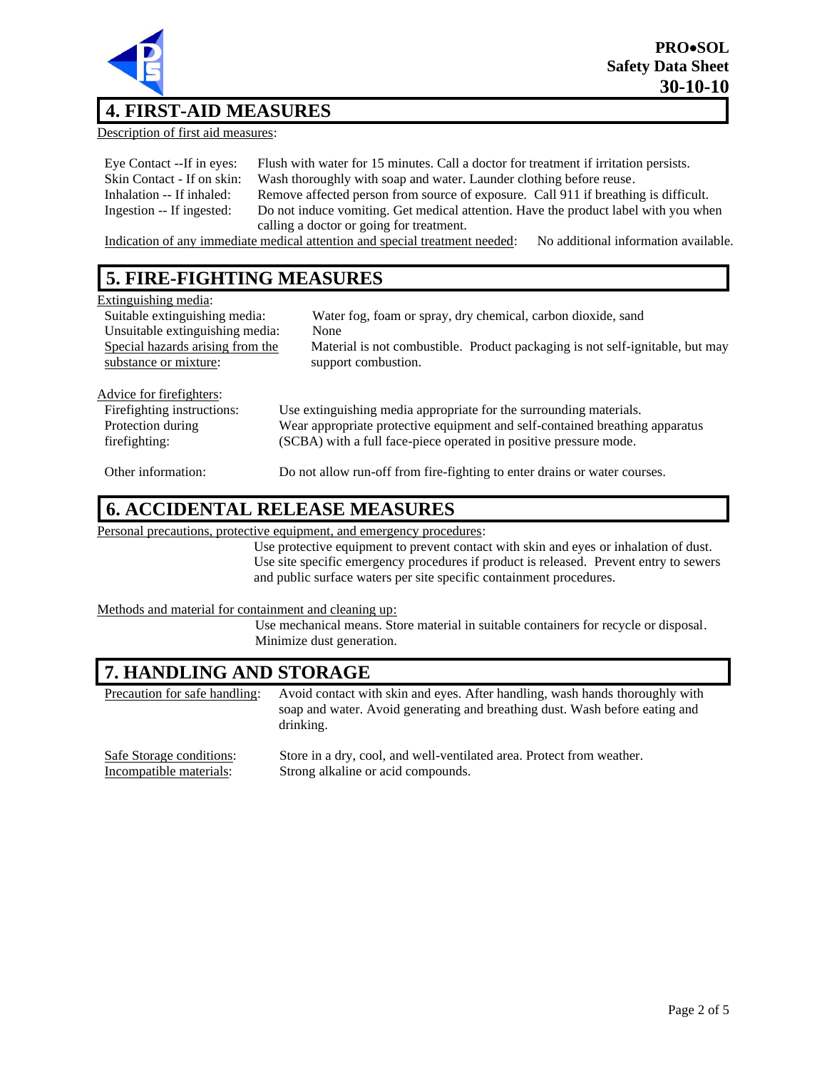

### **4. FIRST-AID MEASURES**

Description of first aid measures:

| Eye Contact --If in eyes:  | Flush with water for 15 minutes. Call a doctor for treatment if irritation persists. |
|----------------------------|--------------------------------------------------------------------------------------|
| Skin Contact - If on skin: | Wash thoroughly with soap and water. Launder clothing before reuse.                  |
| Inhalation -- If inhaled:  | Remove affected person from source of exposure. Call 911 if breathing is difficult.  |
| Ingestion -- If ingested:  | Do not induce vomiting. Get medical attention. Have the product label with you when  |
|                            | calling a doctor or going for treatment.                                             |

Indication of any immediate medical attention and special treatment needed: No additional information available.

### **5. FIRE-FIGHTING MEASURES**

| Extinguishing media:             |                                                                               |
|----------------------------------|-------------------------------------------------------------------------------|
| Suitable extinguishing media:    | Water fog, foam or spray, dry chemical, carbon dioxide, sand                  |
| Unsuitable extinguishing media:  | None                                                                          |
| Special hazards arising from the | Material is not combustible. Product packaging is not self-ignitable, but may |
| substance or mixture:            | support combustion.                                                           |
|                                  |                                                                               |
| Advice for fire fighters:        |                                                                               |
| Firefighting instructions:       | Use extinguishing media appropriate for the surrounding materials.            |
| Protection during                | Wear appropriate protective equipment and self-contained breathing apparatus  |
| firefighting:                    | (SCBA) with a full face-piece operated in positive pressure mode.             |
| Other information:               | Do not allow run-off from fire-fighting to enter drains or water courses.     |

#### **6. ACCIDENTAL RELEASE MEASURES**

Personal precautions, protective equipment, and emergency procedures:

Use protective equipment to prevent contact with skin and eyes or inhalation of dust. Use site specific emergency procedures if product is released. Prevent entry to sewers and public surface waters per site specific containment procedures.

#### Methods and material for containment and cleaning up:

Use mechanical means. Store material in suitable containers for recycle or disposal. Minimize dust generation.

#### **7. HANDLING AND STORAGE**

| Precaution for safe handling: | Avoid contact with skin and eyes. After handling, wash hands thoroughly with<br>soap and water. Avoid generating and breathing dust. Wash before eating and<br>drinking. |
|-------------------------------|--------------------------------------------------------------------------------------------------------------------------------------------------------------------------|
| Safe Storage conditions:      | Store in a dry, cool, and well-ventilated area. Protect from weather.                                                                                                    |
| Incompatible materials:       | Strong alkaline or acid compounds.                                                                                                                                       |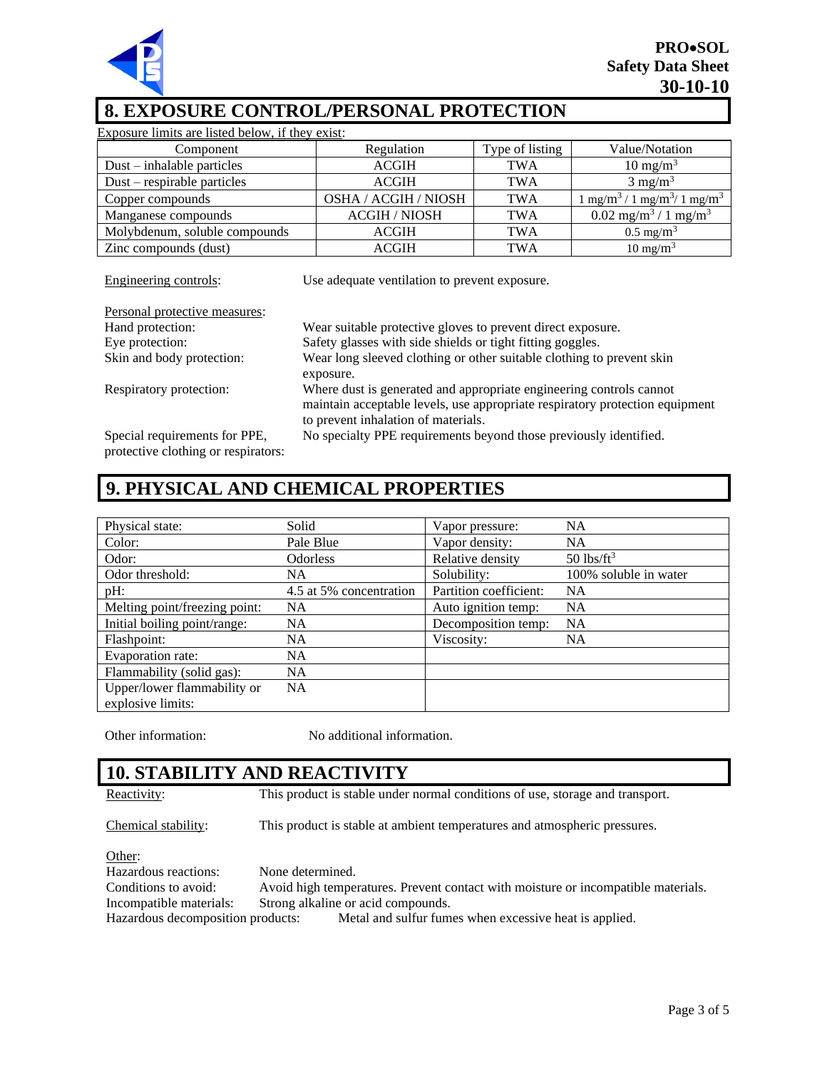

## **8. EXPOSURE CONTROL/PERSONAL PROTECTION**

| Exposure limits are listed below, if they exist: |                 |                                                                             |
|--------------------------------------------------|-----------------|-----------------------------------------------------------------------------|
| Regulation                                       | Type of listing | Value/Notation                                                              |
| <b>ACGIH</b>                                     | <b>TWA</b>      | $10 \text{ mg/m}^3$                                                         |
| <b>ACGIH</b>                                     | <b>TWA</b>      | $3 \text{ mg/m}^3$                                                          |
| <b>OSHA / ACGIH / NIOSH</b>                      | <b>TWA</b>      | $\frac{1}{2}$ mg/m <sup>3</sup> / 1 mg/m <sup>3</sup> / 1 mg/m <sup>3</sup> |
| <b>ACGIH / NIOSH</b>                             | <b>TWA</b>      | $0.02$ mg/m <sup>3</sup> / 1 mg/m <sup>3</sup>                              |
| <b>ACGIH</b>                                     | TWA             | $0.5 \text{ mg/m}^3$                                                        |
| <b>ACGIH</b>                                     | TWA             | $10 \text{ mg/m}^3$                                                         |
|                                                  |                 |                                                                             |

Engineering controls: Use adequate ventilation to prevent exposure.

| Personal protective measures:                                        |                                                                                                                                                                                            |
|----------------------------------------------------------------------|--------------------------------------------------------------------------------------------------------------------------------------------------------------------------------------------|
| Hand protection:                                                     | Wear suitable protective gloves to prevent direct exposure.                                                                                                                                |
| Eye protection:                                                      | Safety glasses with side shields or tight fitting goggles.                                                                                                                                 |
| Skin and body protection:                                            | Wear long sleeved clothing or other suitable clothing to prevent skin                                                                                                                      |
|                                                                      | exposure.                                                                                                                                                                                  |
| Respiratory protection:                                              | Where dust is generated and appropriate engineering controls cannot<br>maintain acceptable levels, use appropriate respiratory protection equipment<br>to prevent inhalation of materials. |
| Special requirements for PPE,<br>protective clothing or respirators: | No specialty PPE requirements beyond those previously identified.                                                                                                                          |

# **9. PHYSICAL AND CHEMICAL PROPERTIES**

| Physical state:                                  | Solid                   | Vapor pressure:        | <b>NA</b>                |
|--------------------------------------------------|-------------------------|------------------------|--------------------------|
| Color:                                           | Pale Blue               | Vapor density:         | <b>NA</b>                |
| Odor:                                            | <b>Odorless</b>         | Relative density       | $50$ lbs/ft <sup>3</sup> |
| Odor threshold:                                  | NA.                     | Solubility:            | 100% soluble in water    |
| pH:                                              | 4.5 at 5% concentration | Partition coefficient: | <b>NA</b>                |
| Melting point/freezing point:                    | <b>NA</b>               | Auto ignition temp:    | <b>NA</b>                |
| Initial boiling point/range:                     | NA.                     | Decomposition temp:    | <b>NA</b>                |
| Flashpoint:                                      | <b>NA</b>               | Viscosity:             | <b>NA</b>                |
| Evaporation rate:                                | <b>NA</b>               |                        |                          |
| Flammability (solid gas):                        | NA                      |                        |                          |
| Upper/lower flammability or<br>explosive limits: | NA                      |                        |                          |

Other information: No additional information.

#### **10. STABILITY AND REACTIVITY**

Reactivity: This product is stable under normal conditions of use, storage and transport.

Chemical stability: This product is stable at ambient temperatures and atmospheric pressures.

Other:

Hazardous reactions: None determined. Conditions to avoid: Avoid high temperatures. Prevent contact with moisture or incompatible materials. Incompatible materials: Strong alkaline or acid compounds. Hazardous decomposition products: Metal and sulfur fumes when excessive heat is applied.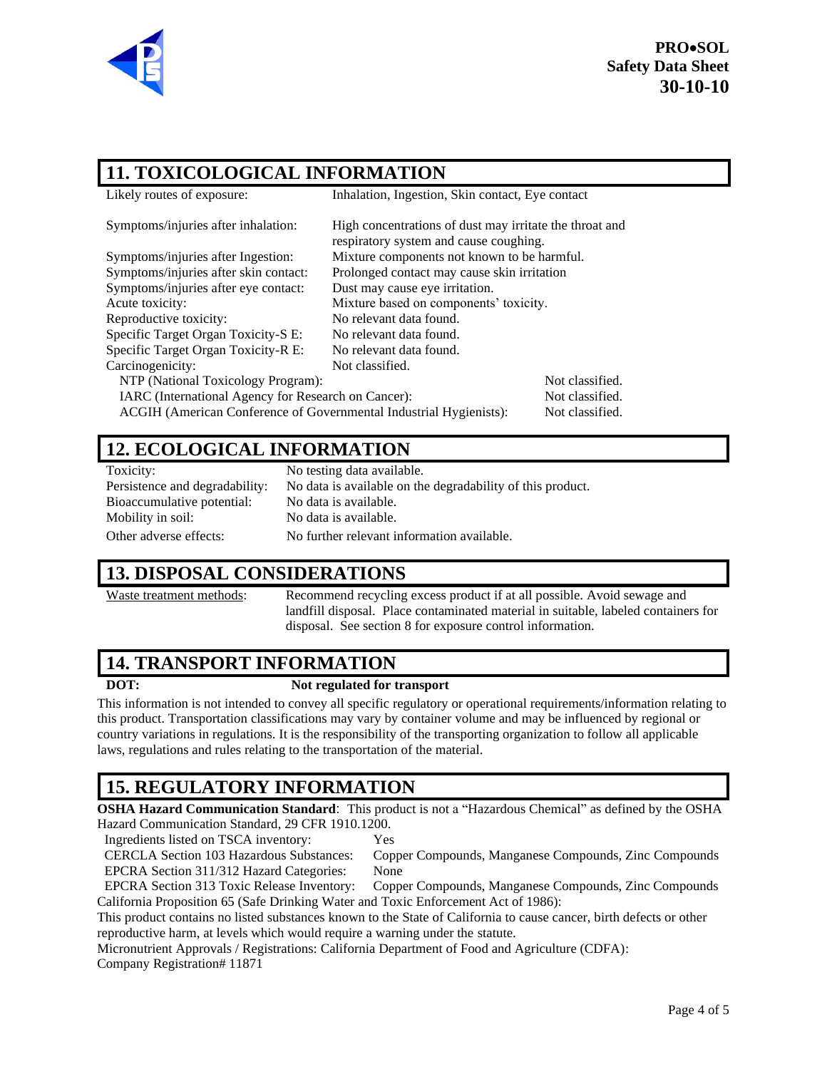

#### **11. TOXICOLOGICAL INFORMATION**

| Likely routes of exposure:                                         | Inhalation, Ingestion, Skin contact, Eye contact                                                  |                 |  |
|--------------------------------------------------------------------|---------------------------------------------------------------------------------------------------|-----------------|--|
| Symptoms/injuries after inhalation:                                | High concentrations of dust may irritate the throat and<br>respiratory system and cause coughing. |                 |  |
| Symptoms/injuries after Ingestion:                                 | Mixture components not known to be harmful.                                                       |                 |  |
| Symptoms/injuries after skin contact:                              | Prolonged contact may cause skin irritation                                                       |                 |  |
| Symptoms/injuries after eye contact:                               | Dust may cause eye irritation.                                                                    |                 |  |
| Acute toxicity:                                                    | Mixture based on components' toxicity.                                                            |                 |  |
| Reproductive toxicity:                                             | No relevant data found.                                                                           |                 |  |
| Specific Target Organ Toxicity-S E:                                | No relevant data found.                                                                           |                 |  |
| Specific Target Organ Toxicity-R E:                                | No relevant data found.                                                                           |                 |  |
| Carcinogenicity:                                                   | Not classified.                                                                                   |                 |  |
| NTP (National Toxicology Program):                                 |                                                                                                   | Not classified. |  |
| IARC (International Agency for Research on Cancer):                |                                                                                                   | Not classified. |  |
| ACGIH (American Conference of Governmental Industrial Hygienists): |                                                                                                   | Not classified. |  |

#### **12. ECOLOGICAL INFORMATION**

| Toxicity: |
|-----------|
| n.        |

Bioaccumulative potential: No data is available. Mobility in soil: No data is available.

No testing data available. Persistence and degradability: No data is available on the degradability of this product. Other adverse effects: No further relevant information available.

#### **13. DISPOSAL CONSIDERATIONS**

Waste treatment methods:<br>Recommend recycling excess product if at all possible. Avoid sewage and landfill disposal. Place contaminated material in suitable, labeled containers for disposal. See section 8 for exposure control information.

#### **14. TRANSPORT INFORMATION**

#### **DOT: Not regulated for transport**

This information is not intended to convey all specific regulatory or operational requirements/information relating to this product. Transportation classifications may vary by container volume and may be influenced by regional or country variations in regulations. It is the responsibility of the transporting organization to follow all applicable laws, regulations and rules relating to the transportation of the material.

## **15. REGULATORY INFORMATION**

**OSHA Hazard Communication Standard**: This product is not a "Hazardous Chemical" as defined by the OSHA Hazard Communication Standard, 29 CFR 1910.1200.

Ingredients listed on TSCA inventory: Yes

CERCLA Section 103 Hazardous Substances: Copper Compounds, Manganese Compounds, Zinc Compounds EPCRA Section 311/312 Hazard Categories: None

EPCRA Section 313 Toxic Release Inventory: Copper Compounds, Manganese Compounds, Zinc Compounds California Proposition 65 (Safe Drinking Water and Toxic Enforcement Act of 1986):

This product contains no listed substances known to the State of California to cause cancer, birth defects or other reproductive harm, at levels which would require a warning under the statute.

Micronutrient Approvals / Registrations: California Department of Food and Agriculture (CDFA):

Company Registration# 11871